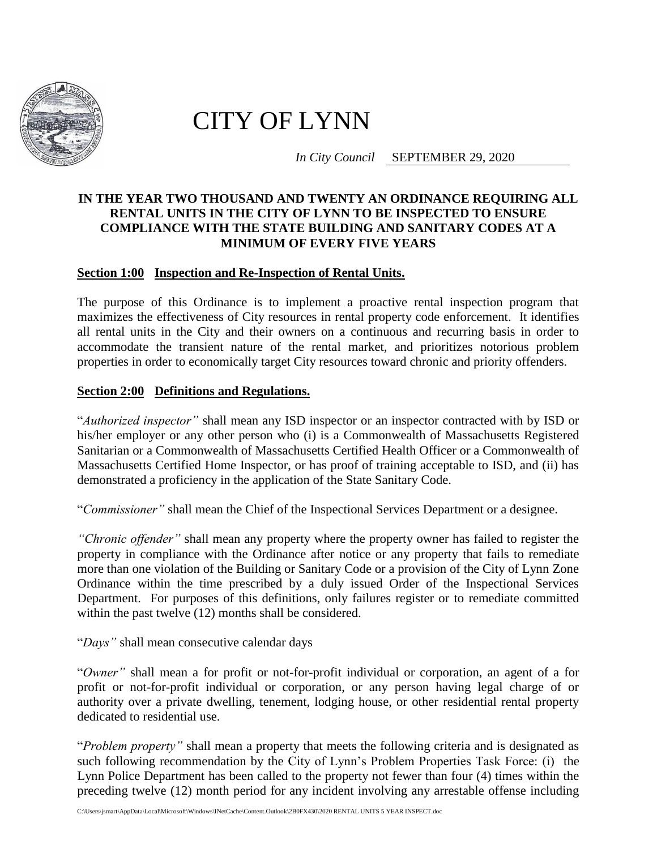

## CITY OF LYNN

*In City Council* SEPTEMBER 29, 2020

## **IN THE YEAR TWO THOUSAND AND TWENTY AN ORDINANCE REQUIRING ALL RENTAL UNITS IN THE CITY OF LYNN TO BE INSPECTED TO ENSURE COMPLIANCE WITH THE STATE BUILDING AND SANITARY CODES AT A MINIMUM OF EVERY FIVE YEARS**

## **Section 1:00 Inspection and Re-Inspection of Rental Units.**

The purpose of this Ordinance is to implement a proactive rental inspection program that maximizes the effectiveness of City resources in rental property code enforcement. It identifies all rental units in the City and their owners on a continuous and recurring basis in order to accommodate the transient nature of the rental market, and prioritizes notorious problem properties in order to economically target City resources toward chronic and priority offenders.

## **Section 2:00 Definitions and Regulations.**

"*Authorized inspector"* shall mean any ISD inspector or an inspector contracted with by ISD or his/her employer or any other person who (i) is a Commonwealth of Massachusetts Registered Sanitarian or a Commonwealth of Massachusetts Certified Health Officer or a Commonwealth of Massachusetts Certified Home Inspector, or has proof of training acceptable to ISD, and (ii) has demonstrated a proficiency in the application of the State Sanitary Code.

"*Commissioner"* shall mean the Chief of the Inspectional Services Department or a designee.

*"Chronic offender"* shall mean any property where the property owner has failed to register the property in compliance with the Ordinance after notice or any property that fails to remediate more than one violation of the Building or Sanitary Code or a provision of the City of Lynn Zone Ordinance within the time prescribed by a duly issued Order of the Inspectional Services Department. For purposes of this definitions, only failures register or to remediate committed within the past twelve (12) months shall be considered.

"*Days"* shall mean consecutive calendar days

"*Owner"* shall mean a for profit or not-for-profit individual or corporation, an agent of a for profit or not-for-profit individual or corporation, or any person having legal charge of or authority over a private dwelling, tenement, lodging house, or other residential rental property dedicated to residential use.

"*Problem property"* shall mean a property that meets the following criteria and is designated as such following recommendation by the City of Lynn's Problem Properties Task Force: (i) the Lynn Police Department has been called to the property not fewer than four (4) times within the preceding twelve (12) month period for any incident involving any arrestable offense including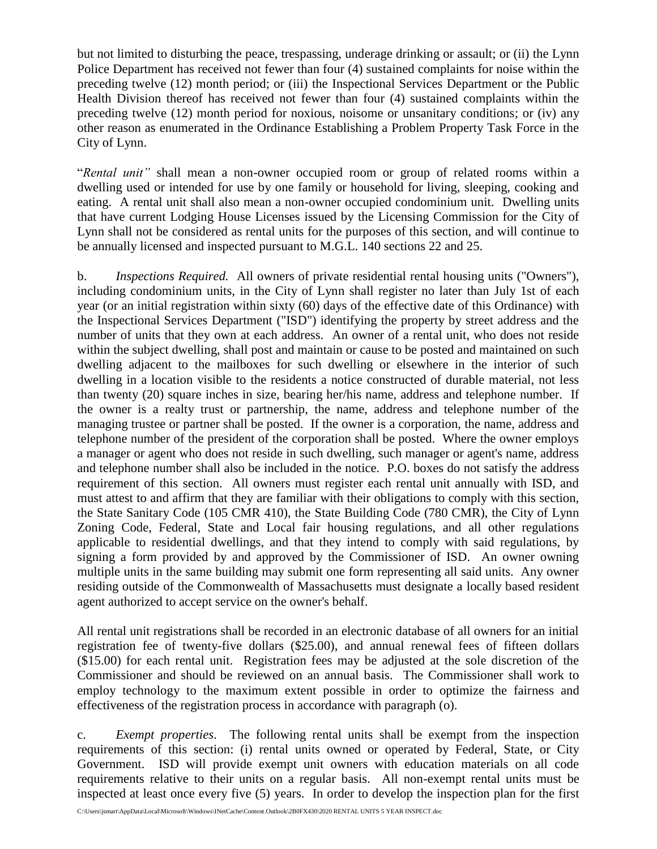but not limited to disturbing the peace, trespassing, underage drinking or assault; or (ii) the Lynn Police Department has received not fewer than four (4) sustained complaints for noise within the preceding twelve (12) month period; or (iii) the Inspectional Services Department or the Public Health Division thereof has received not fewer than four (4) sustained complaints within the preceding twelve (12) month period for noxious, noisome or unsanitary conditions; or (iv) any other reason as enumerated in the Ordinance Establishing a Problem Property Task Force in the City of Lynn.

"*Rental unit"* shall mean a non-owner occupied room or group of related rooms within a dwelling used or intended for use by one family or household for living, sleeping, cooking and eating. A rental unit shall also mean a non-owner occupied condominium unit. Dwelling units that have current Lodging House Licenses issued by the Licensing Commission for the City of Lynn shall not be considered as rental units for the purposes of this section, and will continue to be annually licensed and inspected pursuant to M.G.L. 140 sections 22 and 25.

b. *Inspections Required.* All owners of private residential rental housing units ("Owners"), including condominium units, in the City of Lynn shall register no later than July 1st of each year (or an initial registration within sixty (60) days of the effective date of this Ordinance) with the Inspectional Services Department ("ISD") identifying the property by street address and the number of units that they own at each address. An owner of a rental unit, who does not reside within the subject dwelling, shall post and maintain or cause to be posted and maintained on such dwelling adjacent to the mailboxes for such dwelling or elsewhere in the interior of such dwelling in a location visible to the residents a notice constructed of durable material, not less than twenty (20) square inches in size, bearing her/his name, address and telephone number. If the owner is a realty trust or partnership, the name, address and telephone number of the managing trustee or partner shall be posted. If the owner is a corporation, the name, address and telephone number of the president of the corporation shall be posted. Where the owner employs a manager or agent who does not reside in such dwelling, such manager or agent's name, address and telephone number shall also be included in the notice. P.O. boxes do not satisfy the address requirement of this section. All owners must register each rental unit annually with ISD, and must attest to and affirm that they are familiar with their obligations to comply with this section, the State Sanitary Code (105 CMR 410), the State Building Code (780 CMR), the City of Lynn Zoning Code, Federal, State and Local fair housing regulations, and all other regulations applicable to residential dwellings, and that they intend to comply with said regulations, by signing a form provided by and approved by the Commissioner of ISD. An owner owning multiple units in the same building may submit one form representing all said units. Any owner residing outside of the Commonwealth of Massachusetts must designate a locally based resident agent authorized to accept service on the owner's behalf.

All rental unit registrations shall be recorded in an electronic database of all owners for an initial registration fee of twenty-five dollars (\$25.00), and annual renewal fees of fifteen dollars (\$15.00) for each rental unit. Registration fees may be adjusted at the sole discretion of the Commissioner and should be reviewed on an annual basis. The Commissioner shall work to employ technology to the maximum extent possible in order to optimize the fairness and effectiveness of the registration process in accordance with paragraph (o).

c. *Exempt properties*.The following rental units shall be exempt from the inspection requirements of this section: (i) rental units owned or operated by Federal, State, or City Government. ISD will provide exempt unit owners with education materials on all code requirements relative to their units on a regular basis. All non-exempt rental units must be inspected at least once every five (5) years. In order to develop the inspection plan for the first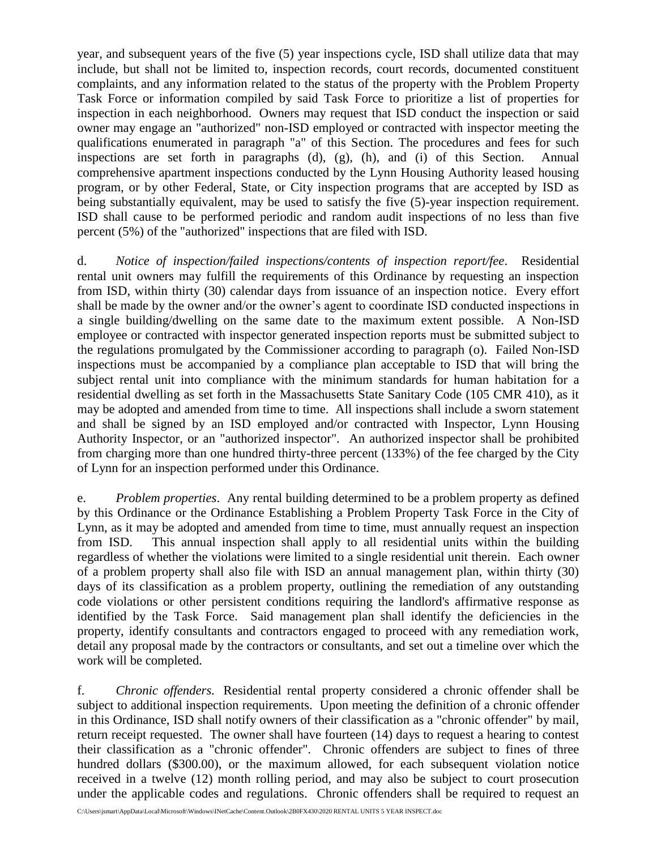year, and subsequent years of the five (5) year inspections cycle, ISD shall utilize data that may include, but shall not be limited to, inspection records, court records, documented constituent complaints, and any information related to the status of the property with the Problem Property Task Force or information compiled by said Task Force to prioritize a list of properties for inspection in each neighborhood. Owners may request that ISD conduct the inspection or said owner may engage an "authorized" non-ISD employed or contracted with inspector meeting the qualifications enumerated in paragraph "a" of this Section. The procedures and fees for such inspections are set forth in paragraphs (d), (g), (h), and (i) of this Section. Annual comprehensive apartment inspections conducted by the Lynn Housing Authority leased housing program, or by other Federal, State, or City inspection programs that are accepted by ISD as being substantially equivalent, may be used to satisfy the five (5)-year inspection requirement. ISD shall cause to be performed periodic and random audit inspections of no less than five percent (5%) of the "authorized" inspections that are filed with ISD.

d. *Notice of inspection/failed inspections/contents of inspection report/fee*. Residential rental unit owners may fulfill the requirements of this Ordinance by requesting an inspection from ISD, within thirty (30) calendar days from issuance of an inspection notice. Every effort shall be made by the owner and/or the owner's agent to coordinate ISD conducted inspections in a single building/dwelling on the same date to the maximum extent possible. A Non-ISD employee or contracted with inspector generated inspection reports must be submitted subject to the regulations promulgated by the Commissioner according to paragraph (o). Failed Non-ISD inspections must be accompanied by a compliance plan acceptable to ISD that will bring the subject rental unit into compliance with the minimum standards for human habitation for a residential dwelling as set forth in the Massachusetts State Sanitary Code (105 CMR 410), as it may be adopted and amended from time to time. All inspections shall include a sworn statement and shall be signed by an ISD employed and/or contracted with Inspector, Lynn Housing Authority Inspector, or an "authorized inspector". An authorized inspector shall be prohibited from charging more than one hundred thirty-three percent (133%) of the fee charged by the City of Lynn for an inspection performed under this Ordinance.

e. *Problem properties*. Any rental building determined to be a problem property as defined by this Ordinance or the Ordinance Establishing a Problem Property Task Force in the City of Lynn, as it may be adopted and amended from time to time, must annually request an inspection from ISD. This annual inspection shall apply to all residential units within the building regardless of whether the violations were limited to a single residential unit therein. Each owner of a problem property shall also file with ISD an annual management plan, within thirty (30) days of its classification as a problem property, outlining the remediation of any outstanding code violations or other persistent conditions requiring the landlord's affirmative response as identified by the Task Force. Said management plan shall identify the deficiencies in the property, identify consultants and contractors engaged to proceed with any remediation work, detail any proposal made by the contractors or consultants, and set out a timeline over which the work will be completed.

f. *Chronic offenders.* Residential rental property considered a chronic offender shall be subject to additional inspection requirements. Upon meeting the definition of a chronic offender in this Ordinance, ISD shall notify owners of their classification as a "chronic offender" by mail, return receipt requested. The owner shall have fourteen (14) days to request a hearing to contest their classification as a "chronic offender". Chronic offenders are subject to fines of three hundred dollars (\$300.00), or the maximum allowed, for each subsequent violation notice received in a twelve (12) month rolling period, and may also be subject to court prosecution under the applicable codes and regulations. Chronic offenders shall be required to request an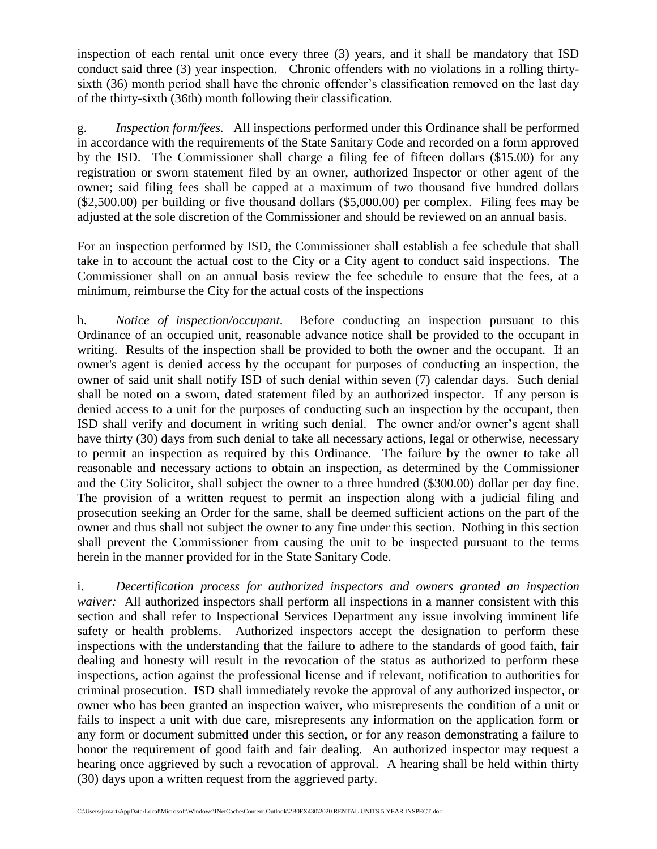inspection of each rental unit once every three (3) years, and it shall be mandatory that ISD conduct said three (3) year inspection. Chronic offenders with no violations in a rolling thirtysixth (36) month period shall have the chronic offender's classification removed on the last day of the thirty-sixth (36th) month following their classification.

g. *Inspection form/fees.* All inspections performed under this Ordinance shall be performed in accordance with the requirements of the State Sanitary Code and recorded on a form approved by the ISD. The Commissioner shall charge a filing fee of fifteen dollars (\$15.00) for any registration or sworn statement filed by an owner, authorized Inspector or other agent of the owner; said filing fees shall be capped at a maximum of two thousand five hundred dollars (\$2,500.00) per building or five thousand dollars (\$5,000.00) per complex. Filing fees may be adjusted at the sole discretion of the Commissioner and should be reviewed on an annual basis.

For an inspection performed by ISD, the Commissioner shall establish a fee schedule that shall take in to account the actual cost to the City or a City agent to conduct said inspections. The Commissioner shall on an annual basis review the fee schedule to ensure that the fees, at a minimum, reimburse the City for the actual costs of the inspections

h. *Notice of inspection/occupant*. Before conducting an inspection pursuant to this Ordinance of an occupied unit, reasonable advance notice shall be provided to the occupant in writing. Results of the inspection shall be provided to both the owner and the occupant. If an owner's agent is denied access by the occupant for purposes of conducting an inspection, the owner of said unit shall notify ISD of such denial within seven (7) calendar days. Such denial shall be noted on a sworn, dated statement filed by an authorized inspector. If any person is denied access to a unit for the purposes of conducting such an inspection by the occupant, then ISD shall verify and document in writing such denial. The owner and/or owner's agent shall have thirty (30) days from such denial to take all necessary actions, legal or otherwise, necessary to permit an inspection as required by this Ordinance. The failure by the owner to take all reasonable and necessary actions to obtain an inspection, as determined by the Commissioner and the City Solicitor, shall subject the owner to a three hundred (\$300.00) dollar per day fine. The provision of a written request to permit an inspection along with a judicial filing and prosecution seeking an Order for the same, shall be deemed sufficient actions on the part of the owner and thus shall not subject the owner to any fine under this section. Nothing in this section shall prevent the Commissioner from causing the unit to be inspected pursuant to the terms herein in the manner provided for in the State Sanitary Code.

i. *Decertification process for authorized inspectors and owners granted an inspection waiver:* All authorized inspectors shall perform all inspections in a manner consistent with this section and shall refer to Inspectional Services Department any issue involving imminent life safety or health problems. Authorized inspectors accept the designation to perform these inspections with the understanding that the failure to adhere to the standards of good faith, fair dealing and honesty will result in the revocation of the status as authorized to perform these inspections, action against the professional license and if relevant, notification to authorities for criminal prosecution. ISD shall immediately revoke the approval of any authorized inspector, or owner who has been granted an inspection waiver, who misrepresents the condition of a unit or fails to inspect a unit with due care, misrepresents any information on the application form or any form or document submitted under this section, or for any reason demonstrating a failure to honor the requirement of good faith and fair dealing. An authorized inspector may request a hearing once aggrieved by such a revocation of approval. A hearing shall be held within thirty (30) days upon a written request from the aggrieved party.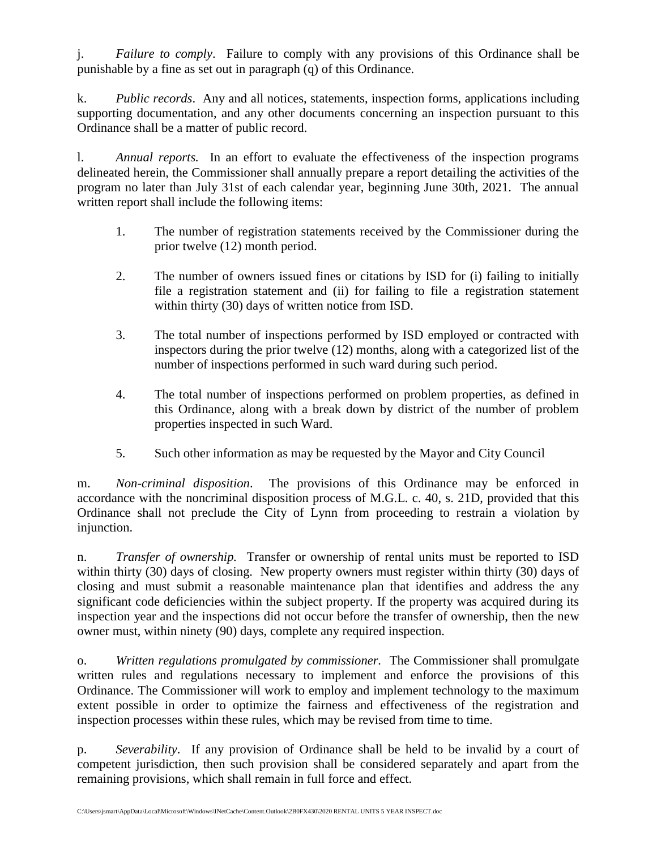j. *Failure to comply*. Failure to comply with any provisions of this Ordinance shall be punishable by a fine as set out in paragraph (q) of this Ordinance.

k. *Public records*. Any and all notices, statements, inspection forms, applications including supporting documentation, and any other documents concerning an inspection pursuant to this Ordinance shall be a matter of public record.

l. *Annual reports.* In an effort to evaluate the effectiveness of the inspection programs delineated herein, the Commissioner shall annually prepare a report detailing the activities of the program no later than July 31st of each calendar year, beginning June 30th, 2021. The annual written report shall include the following items:

- 1. The number of registration statements received by the Commissioner during the prior twelve (12) month period.
- 2. The number of owners issued fines or citations by ISD for (i) failing to initially file a registration statement and (ii) for failing to file a registration statement within thirty (30) days of written notice from ISD.
- 3. The total number of inspections performed by ISD employed or contracted with inspectors during the prior twelve (12) months, along with a categorized list of the number of inspections performed in such ward during such period.
- 4. The total number of inspections performed on problem properties, as defined in this Ordinance, along with a break down by district of the number of problem properties inspected in such Ward.
- 5. Such other information as may be requested by the Mayor and City Council

m. *Non-criminal disposition*. The provisions of this Ordinance may be enforced in accordance with the noncriminal disposition process of M.G.L. c. 40, s. 21D, provided that this Ordinance shall not preclude the City of Lynn from proceeding to restrain a violation by injunction.

n. *Transfer of ownership.* Transfer or ownership of rental units must be reported to ISD within thirty (30) days of closing. New property owners must register within thirty (30) days of closing and must submit a reasonable maintenance plan that identifies and address the any significant code deficiencies within the subject property. If the property was acquired during its inspection year and the inspections did not occur before the transfer of ownership, then the new owner must, within ninety (90) days, complete any required inspection.

o. *Written regulations promulgated by commissioner.* The Commissioner shall promulgate written rules and regulations necessary to implement and enforce the provisions of this Ordinance. The Commissioner will work to employ and implement technology to the maximum extent possible in order to optimize the fairness and effectiveness of the registration and inspection processes within these rules, which may be revised from time to time.

p. *Severability*. If any provision of Ordinance shall be held to be invalid by a court of competent jurisdiction, then such provision shall be considered separately and apart from the remaining provisions, which shall remain in full force and effect.